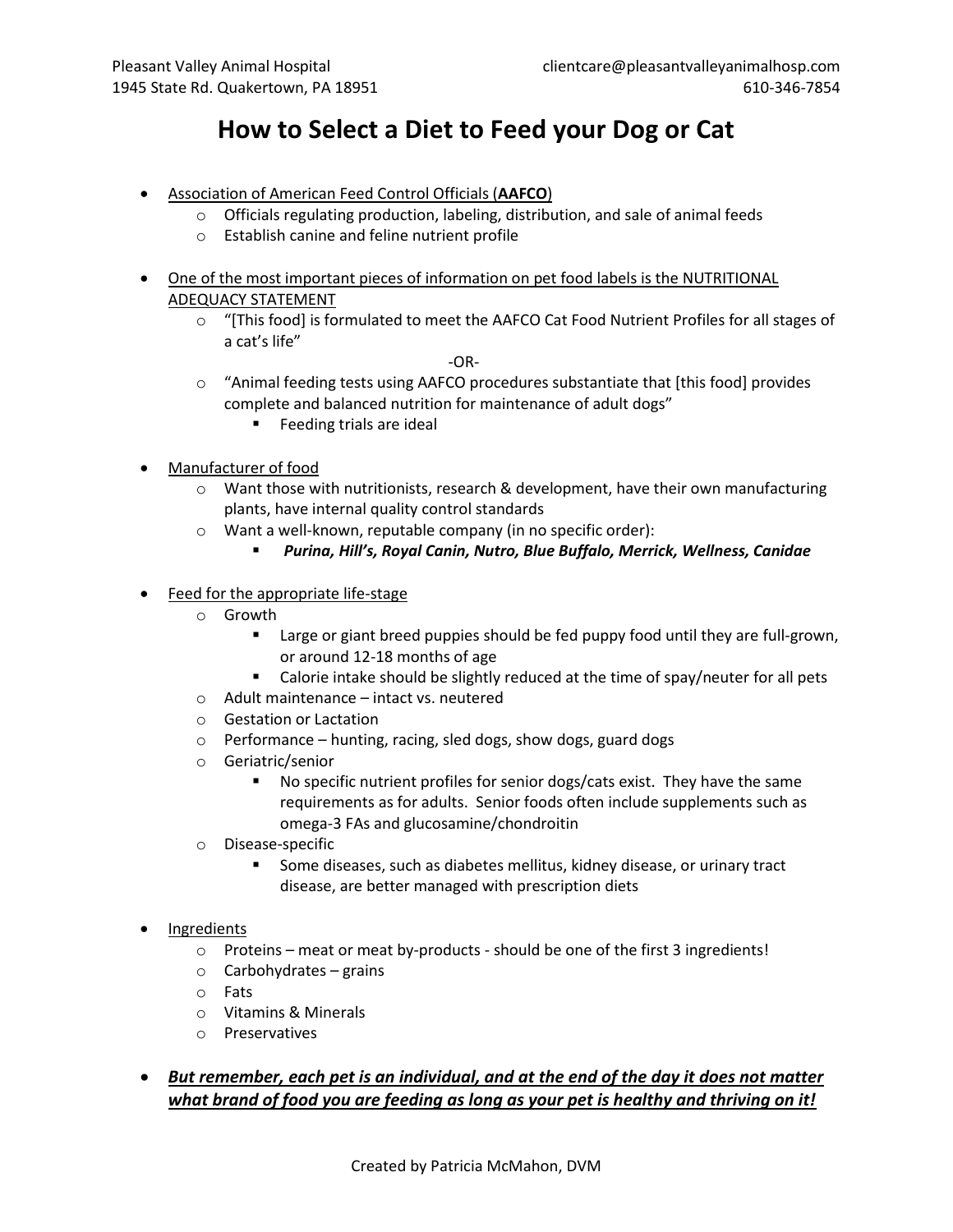## **How to Select a Diet to Feed your Dog or Cat**

- Association of American Feed Control Officials (**AAFCO**)
	- o Officials regulating production, labeling, distribution, and sale of animal feeds
	- o Establish canine and feline nutrient profile
- One of the most important pieces of information on pet food labels is the NUTRITIONAL ADEQUACY STATEMENT
	- $\circ$  "[This food] is formulated to meet the AAFCO Cat Food Nutrient Profiles for all stages of a cat's life"

-OR-

- o "Animal feeding tests using AAFCO procedures substantiate that [this food] provides complete and balanced nutrition for maintenance of adult dogs"
	- **Feeding trials are ideal**
- Manufacturer of food
	- $\circ$  Want those with nutritionists, research & development, have their own manufacturing plants, have internal quality control standards
	- o Want a well-known, reputable company (in no specific order):
		- *Purina, Hill's, Royal Canin, Nutro, Blue Buffalo, Merrick, Wellness, Canidae*
- Feed for the appropriate life-stage
	- o Growth
		- **Example 1** Large or giant breed puppies should be fed puppy food until they are full-grown, or around 12-18 months of age
		- Calorie intake should be slightly reduced at the time of spay/neuter for all pets
	- o Adult maintenance intact vs. neutered
	- o Gestation or Lactation
	- o Performance hunting, racing, sled dogs, show dogs, guard dogs
	- o Geriatric/senior
		- No specific nutrient profiles for senior dogs/cats exist. They have the same requirements as for adults. Senior foods often include supplements such as omega-3 FAs and glucosamine/chondroitin
	- o Disease-specific
		- **Some diseases, such as diabetes mellitus, kidney disease, or urinary tract** disease, are better managed with prescription diets
- **Ingredients** 
	- o Proteins meat or meat by-products should be one of the first 3 ingredients!
	- $\circ$  Carbohydrates grains
	- o Fats
	- o Vitamins & Minerals
	- o Preservatives
- *But remember, each pet is an individual, and at the end of the day it does not matter what brand of food you are feeding as long as your pet is healthy and thriving on it!*